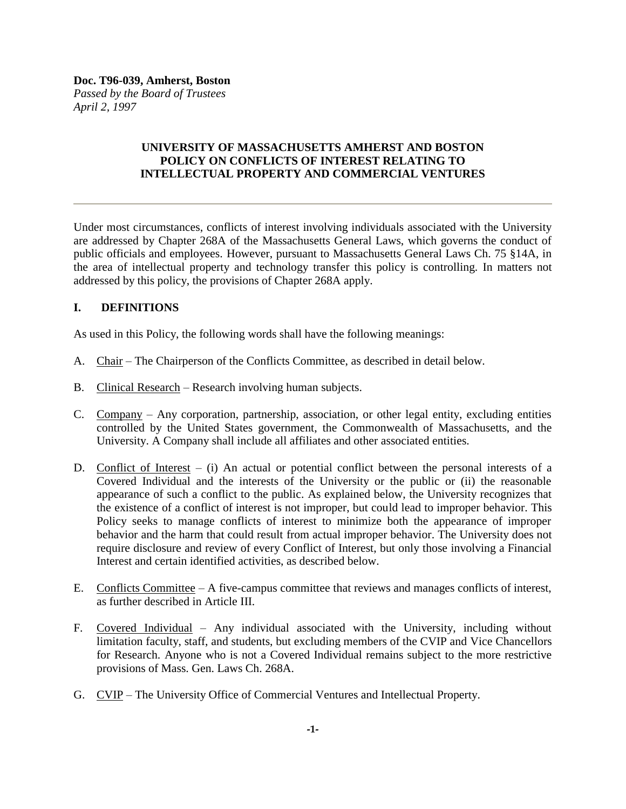# **UNIVERSITY OF MASSACHUSETTS AMHERST AND BOSTON POLICY ON CONFLICTS OF INTEREST RELATING TO INTELLECTUAL PROPERTY AND COMMERCIAL VENTURES**

Under most circumstances, conflicts of interest involving individuals associated with the University are addressed by Chapter 268A of the Massachusetts General Laws, which governs the conduct of public officials and employees. However, pursuant to Massachusetts General Laws Ch. 75 §14A, in the area of intellectual property and technology transfer this policy is controlling. In matters not addressed by this policy, the provisions of Chapter 268A apply.

# **I. DEFINITIONS**

As used in this Policy, the following words shall have the following meanings:

- A. Chair The Chairperson of the Conflicts Committee, as described in detail below.
- B. Clinical Research Research involving human subjects.
- C. Company Any corporation, partnership, association, or other legal entity, excluding entities controlled by the United States government, the Commonwealth of Massachusetts, and the University. A Company shall include all affiliates and other associated entities.
- D. Conflict of Interest (i) An actual or potential conflict between the personal interests of a Covered Individual and the interests of the University or the public or (ii) the reasonable appearance of such a conflict to the public. As explained below, the University recognizes that the existence of a conflict of interest is not improper, but could lead to improper behavior. This Policy seeks to manage conflicts of interest to minimize both the appearance of improper behavior and the harm that could result from actual improper behavior. The University does not require disclosure and review of every Conflict of Interest, but only those involving a Financial Interest and certain identified activities, as described below.
- E. Conflicts Committee A five-campus committee that reviews and manages conflicts of interest, as further described in Article III.
- F. Covered Individual Any individual associated with the University, including without limitation faculty, staff, and students, but excluding members of the CVIP and Vice Chancellors for Research. Anyone who is not a Covered Individual remains subject to the more restrictive provisions of Mass. Gen. Laws Ch. 268A.
- G. CVIP The University Office of Commercial Ventures and Intellectual Property.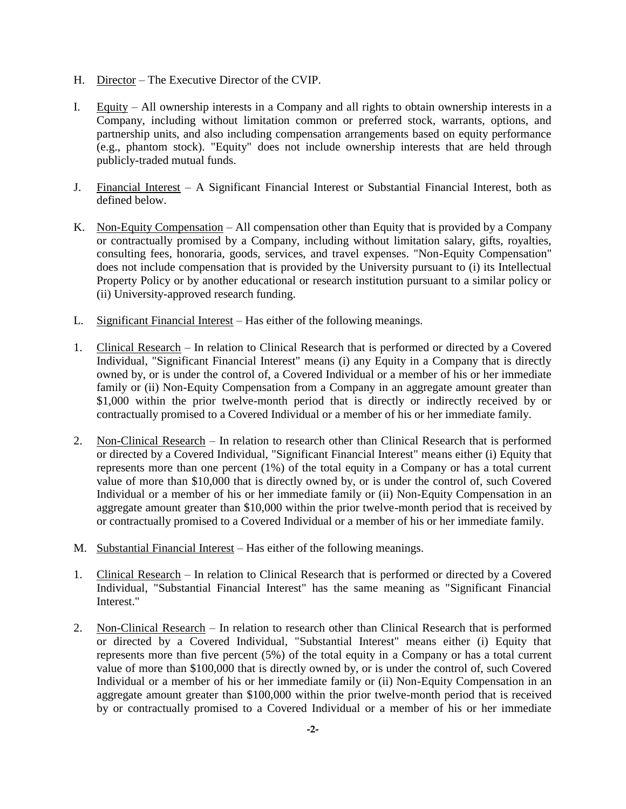- H. Director The Executive Director of the CVIP.
- I. Equity All ownership interests in a Company and all rights to obtain ownership interests in a Company, including without limitation common or preferred stock, warrants, options, and partnership units, and also including compensation arrangements based on equity performance (e.g., phantom stock). "Equity" does not include ownership interests that are held through publicly-traded mutual funds.
- J. Financial Interest A Significant Financial Interest or Substantial Financial Interest, both as defined below.
- K. Non-Equity Compensation All compensation other than Equity that is provided by a Company or contractually promised by a Company, including without limitation salary, gifts, royalties, consulting fees, honoraria, goods, services, and travel expenses. "Non-Equity Compensation" does not include compensation that is provided by the University pursuant to (i) its Intellectual Property Policy or by another educational or research institution pursuant to a similar policy or (ii) University-approved research funding.
- L. Significant Financial Interest Has either of the following meanings.
- 1. Clinical Research In relation to Clinical Research that is performed or directed by a Covered Individual, "Significant Financial Interest" means (i) any Equity in a Company that is directly owned by, or is under the control of, a Covered Individual or a member of his or her immediate family or (ii) Non-Equity Compensation from a Company in an aggregate amount greater than \$1,000 within the prior twelve-month period that is directly or indirectly received by or contractually promised to a Covered Individual or a member of his or her immediate family.
- 2. Non-Clinical Research In relation to research other than Clinical Research that is performed or directed by a Covered Individual, "Significant Financial Interest" means either (i) Equity that represents more than one percent (1%) of the total equity in a Company or has a total current value of more than \$10,000 that is directly owned by, or is under the control of, such Covered Individual or a member of his or her immediate family or (ii) Non-Equity Compensation in an aggregate amount greater than \$10,000 within the prior twelve-month period that is received by or contractually promised to a Covered Individual or a member of his or her immediate family.
- M. Substantial Financial Interest Has either of the following meanings.
- 1. Clinical Research In relation to Clinical Research that is performed or directed by a Covered Individual, "Substantial Financial Interest" has the same meaning as "Significant Financial Interest."
- 2. Non-Clinical Research In relation to research other than Clinical Research that is performed or directed by a Covered Individual, "Substantial Interest" means either (i) Equity that represents more than five percent (5%) of the total equity in a Company or has a total current value of more than \$100,000 that is directly owned by, or is under the control of, such Covered Individual or a member of his or her immediate family or (ii) Non-Equity Compensation in an aggregate amount greater than \$100,000 within the prior twelve-month period that is received by or contractually promised to a Covered Individual or a member of his or her immediate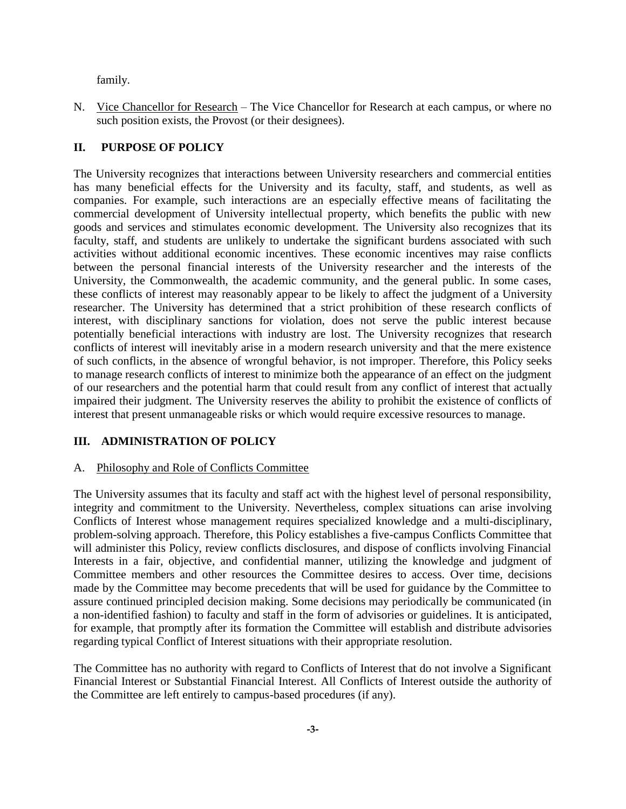family.

N. Vice Chancellor for Research – The Vice Chancellor for Research at each campus, or where no such position exists, the Provost (or their designees).

### **II. PURPOSE OF POLICY**

The University recognizes that interactions between University researchers and commercial entities has many beneficial effects for the University and its faculty, staff, and students, as well as companies. For example, such interactions are an especially effective means of facilitating the commercial development of University intellectual property, which benefits the public with new goods and services and stimulates economic development. The University also recognizes that its faculty, staff, and students are unlikely to undertake the significant burdens associated with such activities without additional economic incentives. These economic incentives may raise conflicts between the personal financial interests of the University researcher and the interests of the University, the Commonwealth, the academic community, and the general public. In some cases, these conflicts of interest may reasonably appear to be likely to affect the judgment of a University researcher. The University has determined that a strict prohibition of these research conflicts of interest, with disciplinary sanctions for violation, does not serve the public interest because potentially beneficial interactions with industry are lost. The University recognizes that research conflicts of interest will inevitably arise in a modern research university and that the mere existence of such conflicts, in the absence of wrongful behavior, is not improper. Therefore, this Policy seeks to manage research conflicts of interest to minimize both the appearance of an effect on the judgment of our researchers and the potential harm that could result from any conflict of interest that actually impaired their judgment. The University reserves the ability to prohibit the existence of conflicts of interest that present unmanageable risks or which would require excessive resources to manage.

# **III. ADMINISTRATION OF POLICY**

#### A. Philosophy and Role of Conflicts Committee

The University assumes that its faculty and staff act with the highest level of personal responsibility, integrity and commitment to the University. Nevertheless, complex situations can arise involving Conflicts of Interest whose management requires specialized knowledge and a multi-disciplinary, problem-solving approach. Therefore, this Policy establishes a five-campus Conflicts Committee that will administer this Policy, review conflicts disclosures, and dispose of conflicts involving Financial Interests in a fair, objective, and confidential manner, utilizing the knowledge and judgment of Committee members and other resources the Committee desires to access. Over time, decisions made by the Committee may become precedents that will be used for guidance by the Committee to assure continued principled decision making. Some decisions may periodically be communicated (in a non-identified fashion) to faculty and staff in the form of advisories or guidelines. It is anticipated, for example, that promptly after its formation the Committee will establish and distribute advisories regarding typical Conflict of Interest situations with their appropriate resolution.

The Committee has no authority with regard to Conflicts of Interest that do not involve a Significant Financial Interest or Substantial Financial Interest. All Conflicts of Interest outside the authority of the Committee are left entirely to campus-based procedures (if any).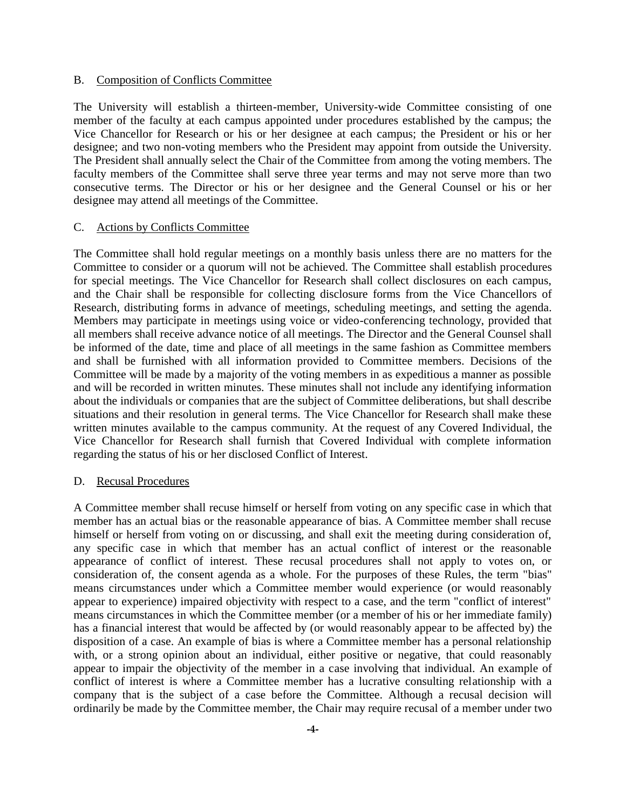#### B. Composition of Conflicts Committee

The University will establish a thirteen-member, University-wide Committee consisting of one member of the faculty at each campus appointed under procedures established by the campus; the Vice Chancellor for Research or his or her designee at each campus; the President or his or her designee; and two non-voting members who the President may appoint from outside the University. The President shall annually select the Chair of the Committee from among the voting members. The faculty members of the Committee shall serve three year terms and may not serve more than two consecutive terms. The Director or his or her designee and the General Counsel or his or her designee may attend all meetings of the Committee.

#### C. Actions by Conflicts Committee

The Committee shall hold regular meetings on a monthly basis unless there are no matters for the Committee to consider or a quorum will not be achieved. The Committee shall establish procedures for special meetings. The Vice Chancellor for Research shall collect disclosures on each campus, and the Chair shall be responsible for collecting disclosure forms from the Vice Chancellors of Research, distributing forms in advance of meetings, scheduling meetings, and setting the agenda. Members may participate in meetings using voice or video-conferencing technology, provided that all members shall receive advance notice of all meetings. The Director and the General Counsel shall be informed of the date, time and place of all meetings in the same fashion as Committee members and shall be furnished with all information provided to Committee members. Decisions of the Committee will be made by a majority of the voting members in as expeditious a manner as possible and will be recorded in written minutes. These minutes shall not include any identifying information about the individuals or companies that are the subject of Committee deliberations, but shall describe situations and their resolution in general terms. The Vice Chancellor for Research shall make these written minutes available to the campus community. At the request of any Covered Individual, the Vice Chancellor for Research shall furnish that Covered Individual with complete information regarding the status of his or her disclosed Conflict of Interest.

#### D. Recusal Procedures

A Committee member shall recuse himself or herself from voting on any specific case in which that member has an actual bias or the reasonable appearance of bias. A Committee member shall recuse himself or herself from voting on or discussing, and shall exit the meeting during consideration of, any specific case in which that member has an actual conflict of interest or the reasonable appearance of conflict of interest. These recusal procedures shall not apply to votes on, or consideration of, the consent agenda as a whole. For the purposes of these Rules, the term "bias" means circumstances under which a Committee member would experience (or would reasonably appear to experience) impaired objectivity with respect to a case, and the term "conflict of interest" means circumstances in which the Committee member (or a member of his or her immediate family) has a financial interest that would be affected by (or would reasonably appear to be affected by) the disposition of a case. An example of bias is where a Committee member has a personal relationship with, or a strong opinion about an individual, either positive or negative, that could reasonably appear to impair the objectivity of the member in a case involving that individual. An example of conflict of interest is where a Committee member has a lucrative consulting relationship with a company that is the subject of a case before the Committee. Although a recusal decision will ordinarily be made by the Committee member, the Chair may require recusal of a member under two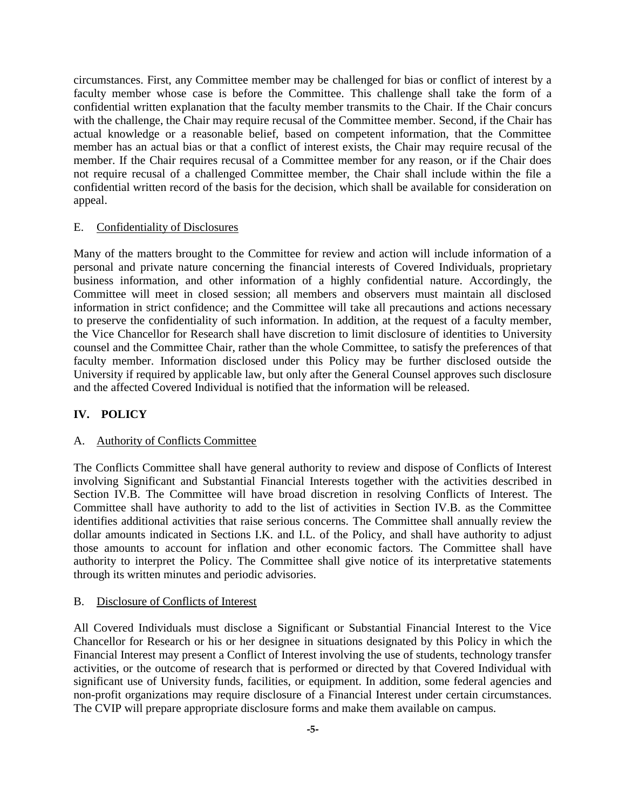circumstances. First, any Committee member may be challenged for bias or conflict of interest by a faculty member whose case is before the Committee. This challenge shall take the form of a confidential written explanation that the faculty member transmits to the Chair. If the Chair concurs with the challenge, the Chair may require recusal of the Committee member. Second, if the Chair has actual knowledge or a reasonable belief, based on competent information, that the Committee member has an actual bias or that a conflict of interest exists, the Chair may require recusal of the member. If the Chair requires recusal of a Committee member for any reason, or if the Chair does not require recusal of a challenged Committee member, the Chair shall include within the file a confidential written record of the basis for the decision, which shall be available for consideration on appeal.

### E. Confidentiality of Disclosures

Many of the matters brought to the Committee for review and action will include information of a personal and private nature concerning the financial interests of Covered Individuals, proprietary business information, and other information of a highly confidential nature. Accordingly, the Committee will meet in closed session; all members and observers must maintain all disclosed information in strict confidence; and the Committee will take all precautions and actions necessary to preserve the confidentiality of such information. In addition, at the request of a faculty member, the Vice Chancellor for Research shall have discretion to limit disclosure of identities to University counsel and the Committee Chair, rather than the whole Committee, to satisfy the preferences of that faculty member. Information disclosed under this Policy may be further disclosed outside the University if required by applicable law, but only after the General Counsel approves such disclosure and the affected Covered Individual is notified that the information will be released.

## **IV. POLICY**

#### A. Authority of Conflicts Committee

The Conflicts Committee shall have general authority to review and dispose of Conflicts of Interest involving Significant and Substantial Financial Interests together with the activities described in Section IV.B. The Committee will have broad discretion in resolving Conflicts of Interest. The Committee shall have authority to add to the list of activities in Section IV.B. as the Committee identifies additional activities that raise serious concerns. The Committee shall annually review the dollar amounts indicated in Sections I.K. and I.L. of the Policy, and shall have authority to adjust those amounts to account for inflation and other economic factors. The Committee shall have authority to interpret the Policy. The Committee shall give notice of its interpretative statements through its written minutes and periodic advisories.

### B. Disclosure of Conflicts of Interest

All Covered Individuals must disclose a Significant or Substantial Financial Interest to the Vice Chancellor for Research or his or her designee in situations designated by this Policy in which the Financial Interest may present a Conflict of Interest involving the use of students, technology transfer activities, or the outcome of research that is performed or directed by that Covered Individual with significant use of University funds, facilities, or equipment. In addition, some federal agencies and non-profit organizations may require disclosure of a Financial Interest under certain circumstances. The CVIP will prepare appropriate disclosure forms and make them available on campus.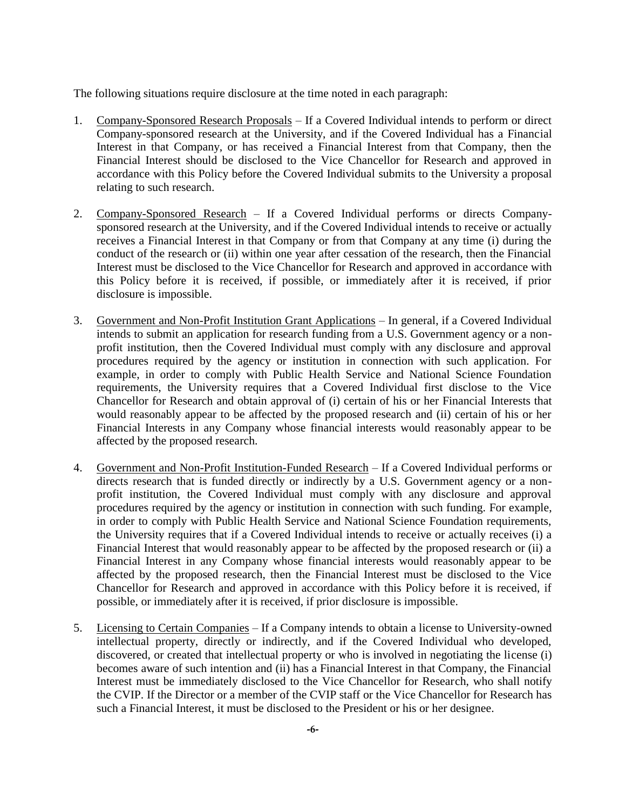The following situations require disclosure at the time noted in each paragraph:

- 1. Company-Sponsored Research Proposals If a Covered Individual intends to perform or direct Company-sponsored research at the University, and if the Covered Individual has a Financial Interest in that Company, or has received a Financial Interest from that Company, then the Financial Interest should be disclosed to the Vice Chancellor for Research and approved in accordance with this Policy before the Covered Individual submits to the University a proposal relating to such research.
- 2. Company-Sponsored Research If a Covered Individual performs or directs Companysponsored research at the University, and if the Covered Individual intends to receive or actually receives a Financial Interest in that Company or from that Company at any time (i) during the conduct of the research or (ii) within one year after cessation of the research, then the Financial Interest must be disclosed to the Vice Chancellor for Research and approved in accordance with this Policy before it is received, if possible, or immediately after it is received, if prior disclosure is impossible.
- 3. Government and Non-Profit Institution Grant Applications In general, if a Covered Individual intends to submit an application for research funding from a U.S. Government agency or a nonprofit institution, then the Covered Individual must comply with any disclosure and approval procedures required by the agency or institution in connection with such application. For example, in order to comply with Public Health Service and National Science Foundation requirements, the University requires that a Covered Individual first disclose to the Vice Chancellor for Research and obtain approval of (i) certain of his or her Financial Interests that would reasonably appear to be affected by the proposed research and (ii) certain of his or her Financial Interests in any Company whose financial interests would reasonably appear to be affected by the proposed research.
- 4. Government and Non-Profit Institution-Funded Research If a Covered Individual performs or directs research that is funded directly or indirectly by a U.S. Government agency or a nonprofit institution, the Covered Individual must comply with any disclosure and approval procedures required by the agency or institution in connection with such funding. For example, in order to comply with Public Health Service and National Science Foundation requirements, the University requires that if a Covered Individual intends to receive or actually receives (i) a Financial Interest that would reasonably appear to be affected by the proposed research or (ii) a Financial Interest in any Company whose financial interests would reasonably appear to be affected by the proposed research, then the Financial Interest must be disclosed to the Vice Chancellor for Research and approved in accordance with this Policy before it is received, if possible, or immediately after it is received, if prior disclosure is impossible.
- 5. Licensing to Certain Companies If a Company intends to obtain a license to University-owned intellectual property, directly or indirectly, and if the Covered Individual who developed, discovered, or created that intellectual property or who is involved in negotiating the license (i) becomes aware of such intention and (ii) has a Financial Interest in that Company, the Financial Interest must be immediately disclosed to the Vice Chancellor for Research, who shall notify the CVIP. If the Director or a member of the CVIP staff or the Vice Chancellor for Research has such a Financial Interest, it must be disclosed to the President or his or her designee.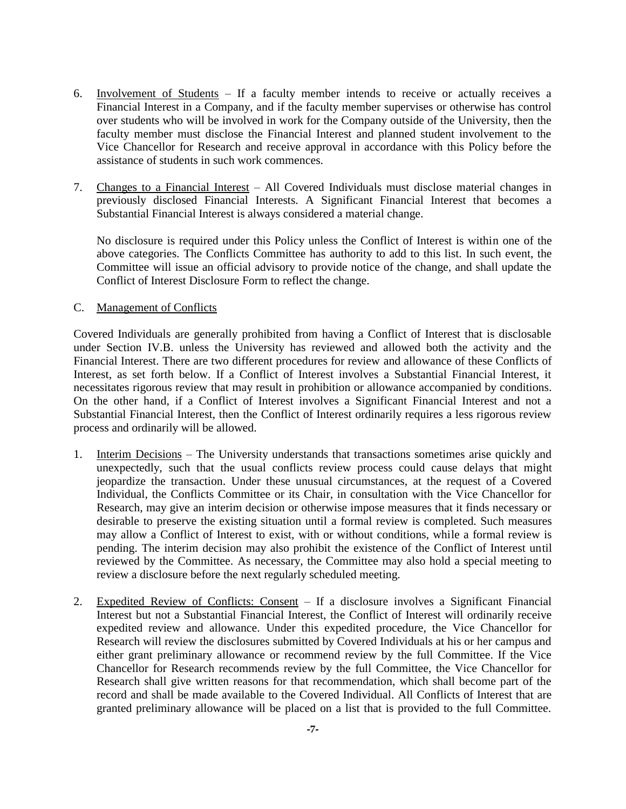- 6. Involvement of Students If a faculty member intends to receive or actually receives a Financial Interest in a Company, and if the faculty member supervises or otherwise has control over students who will be involved in work for the Company outside of the University, then the faculty member must disclose the Financial Interest and planned student involvement to the Vice Chancellor for Research and receive approval in accordance with this Policy before the assistance of students in such work commences.
- 7. Changes to a Financial Interest All Covered Individuals must disclose material changes in previously disclosed Financial Interests. A Significant Financial Interest that becomes a Substantial Financial Interest is always considered a material change.

No disclosure is required under this Policy unless the Conflict of Interest is within one of the above categories. The Conflicts Committee has authority to add to this list. In such event, the Committee will issue an official advisory to provide notice of the change, and shall update the Conflict of Interest Disclosure Form to reflect the change.

## C. Management of Conflicts

Covered Individuals are generally prohibited from having a Conflict of Interest that is disclosable under Section IV.B. unless the University has reviewed and allowed both the activity and the Financial Interest. There are two different procedures for review and allowance of these Conflicts of Interest, as set forth below. If a Conflict of Interest involves a Substantial Financial Interest, it necessitates rigorous review that may result in prohibition or allowance accompanied by conditions. On the other hand, if a Conflict of Interest involves a Significant Financial Interest and not a Substantial Financial Interest, then the Conflict of Interest ordinarily requires a less rigorous review process and ordinarily will be allowed.

- 1. Interim Decisions The University understands that transactions sometimes arise quickly and unexpectedly, such that the usual conflicts review process could cause delays that might jeopardize the transaction. Under these unusual circumstances, at the request of a Covered Individual, the Conflicts Committee or its Chair, in consultation with the Vice Chancellor for Research, may give an interim decision or otherwise impose measures that it finds necessary or desirable to preserve the existing situation until a formal review is completed. Such measures may allow a Conflict of Interest to exist, with or without conditions, while a formal review is pending. The interim decision may also prohibit the existence of the Conflict of Interest until reviewed by the Committee. As necessary, the Committee may also hold a special meeting to review a disclosure before the next regularly scheduled meeting.
- 2. Expedited Review of Conflicts: Consent If a disclosure involves a Significant Financial Interest but not a Substantial Financial Interest, the Conflict of Interest will ordinarily receive expedited review and allowance. Under this expedited procedure, the Vice Chancellor for Research will review the disclosures submitted by Covered Individuals at his or her campus and either grant preliminary allowance or recommend review by the full Committee. If the Vice Chancellor for Research recommends review by the full Committee, the Vice Chancellor for Research shall give written reasons for that recommendation, which shall become part of the record and shall be made available to the Covered Individual. All Conflicts of Interest that are granted preliminary allowance will be placed on a list that is provided to the full Committee.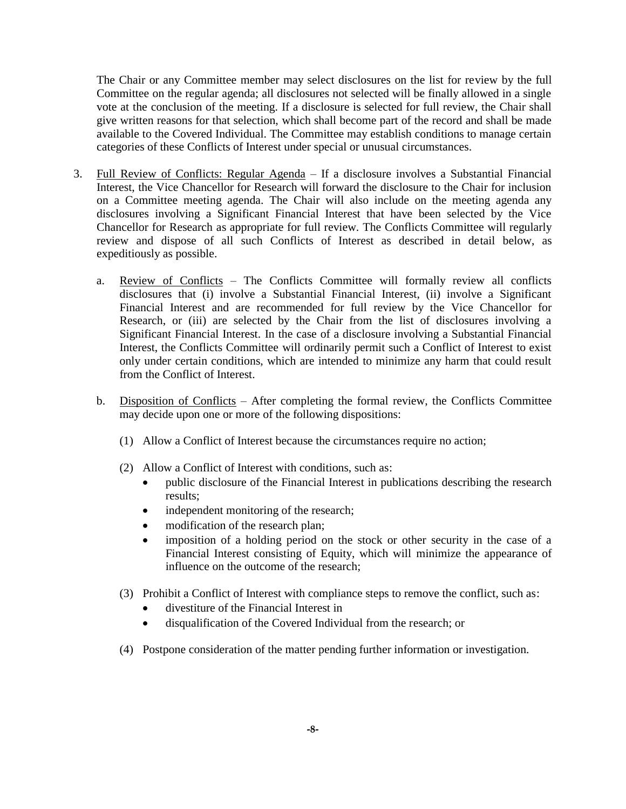The Chair or any Committee member may select disclosures on the list for review by the full Committee on the regular agenda; all disclosures not selected will be finally allowed in a single vote at the conclusion of the meeting. If a disclosure is selected for full review, the Chair shall give written reasons for that selection, which shall become part of the record and shall be made available to the Covered Individual. The Committee may establish conditions to manage certain categories of these Conflicts of Interest under special or unusual circumstances.

- 3. Full Review of Conflicts: Regular Agenda If a disclosure involves a Substantial Financial Interest, the Vice Chancellor for Research will forward the disclosure to the Chair for inclusion on a Committee meeting agenda. The Chair will also include on the meeting agenda any disclosures involving a Significant Financial Interest that have been selected by the Vice Chancellor for Research as appropriate for full review. The Conflicts Committee will regularly review and dispose of all such Conflicts of Interest as described in detail below, as expeditiously as possible.
	- a. Review of Conflicts The Conflicts Committee will formally review all conflicts disclosures that (i) involve a Substantial Financial Interest, (ii) involve a Significant Financial Interest and are recommended for full review by the Vice Chancellor for Research, or (iii) are selected by the Chair from the list of disclosures involving a Significant Financial Interest. In the case of a disclosure involving a Substantial Financial Interest, the Conflicts Committee will ordinarily permit such a Conflict of Interest to exist only under certain conditions, which are intended to minimize any harm that could result from the Conflict of Interest.
	- b. Disposition of Conflicts After completing the formal review, the Conflicts Committee may decide upon one or more of the following dispositions:
		- (1) Allow a Conflict of Interest because the circumstances require no action;
		- (2) Allow a Conflict of Interest with conditions, such as:
			- public disclosure of the Financial Interest in publications describing the research results;
			- independent monitoring of the research;
			- modification of the research plan;
			- imposition of a holding period on the stock or other security in the case of a Financial Interest consisting of Equity, which will minimize the appearance of influence on the outcome of the research;
		- (3) Prohibit a Conflict of Interest with compliance steps to remove the conflict, such as:
			- divestiture of the Financial Interest in
			- disqualification of the Covered Individual from the research; or
		- (4) Postpone consideration of the matter pending further information or investigation.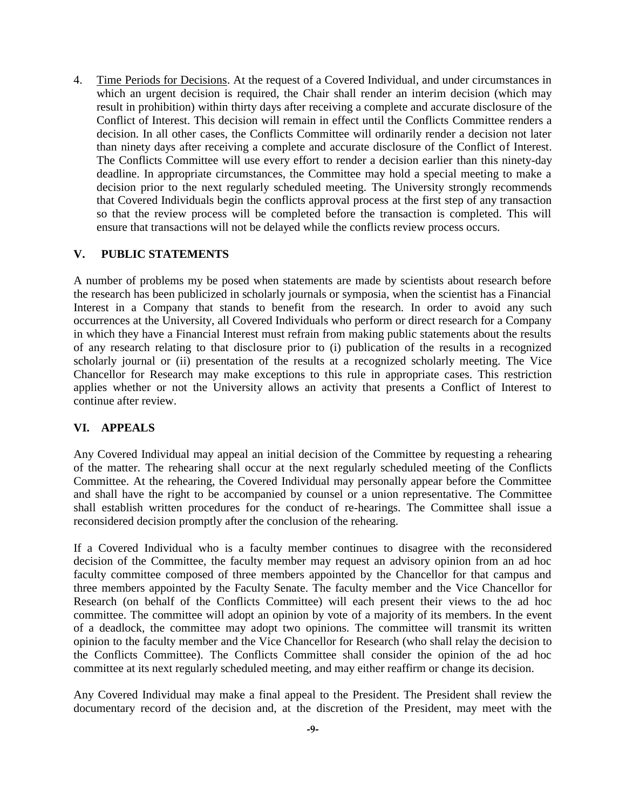4. Time Periods for Decisions. At the request of a Covered Individual, and under circumstances in which an urgent decision is required, the Chair shall render an interim decision (which may result in prohibition) within thirty days after receiving a complete and accurate disclosure of the Conflict of Interest. This decision will remain in effect until the Conflicts Committee renders a decision. In all other cases, the Conflicts Committee will ordinarily render a decision not later than ninety days after receiving a complete and accurate disclosure of the Conflict of Interest. The Conflicts Committee will use every effort to render a decision earlier than this ninety-day deadline. In appropriate circumstances, the Committee may hold a special meeting to make a decision prior to the next regularly scheduled meeting. The University strongly recommends that Covered Individuals begin the conflicts approval process at the first step of any transaction so that the review process will be completed before the transaction is completed. This will ensure that transactions will not be delayed while the conflicts review process occurs.

#### **V. PUBLIC STATEMENTS**

A number of problems my be posed when statements are made by scientists about research before the research has been publicized in scholarly journals or symposia, when the scientist has a Financial Interest in a Company that stands to benefit from the research. In order to avoid any such occurrences at the University, all Covered Individuals who perform or direct research for a Company in which they have a Financial Interest must refrain from making public statements about the results of any research relating to that disclosure prior to (i) publication of the results in a recognized scholarly journal or (ii) presentation of the results at a recognized scholarly meeting. The Vice Chancellor for Research may make exceptions to this rule in appropriate cases. This restriction applies whether or not the University allows an activity that presents a Conflict of Interest to continue after review.

## **VI. APPEALS**

Any Covered Individual may appeal an initial decision of the Committee by requesting a rehearing of the matter. The rehearing shall occur at the next regularly scheduled meeting of the Conflicts Committee. At the rehearing, the Covered Individual may personally appear before the Committee and shall have the right to be accompanied by counsel or a union representative. The Committee shall establish written procedures for the conduct of re-hearings. The Committee shall issue a reconsidered decision promptly after the conclusion of the rehearing.

If a Covered Individual who is a faculty member continues to disagree with the reconsidered decision of the Committee, the faculty member may request an advisory opinion from an ad hoc faculty committee composed of three members appointed by the Chancellor for that campus and three members appointed by the Faculty Senate. The faculty member and the Vice Chancellor for Research (on behalf of the Conflicts Committee) will each present their views to the ad hoc committee. The committee will adopt an opinion by vote of a majority of its members. In the event of a deadlock, the committee may adopt two opinions. The committee will transmit its written opinion to the faculty member and the Vice Chancellor for Research (who shall relay the decision to the Conflicts Committee). The Conflicts Committee shall consider the opinion of the ad hoc committee at its next regularly scheduled meeting, and may either reaffirm or change its decision.

Any Covered Individual may make a final appeal to the President. The President shall review the documentary record of the decision and, at the discretion of the President, may meet with the